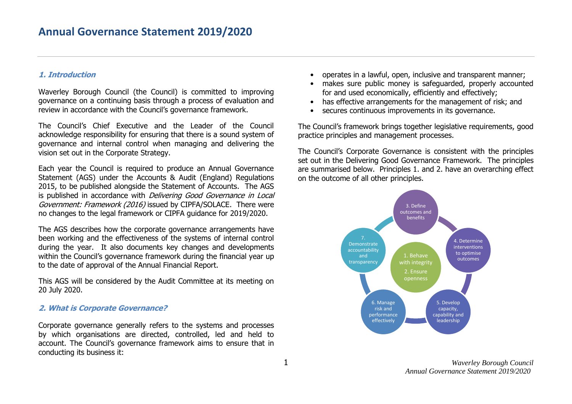## **1. Introduction**

Waverley Borough Council (the Council) is committed to improving governance on a continuing basis through a process of evaluation and review in accordance with the Council's governance framework.

The Council's Chief Executive and the Leader of the Council acknowledge responsibility for ensuring that there is a sound system of governance and internal control when managing and delivering the vision set out in the Corporate Strategy.

Each year the Council is required to produce an Annual Governance Statement (AGS) under the Accounts & Audit (England) Regulations 2015, to be published alongside the Statement of Accounts. The AGS is published in accordance with *Delivering Good Governance in Local* Government: Framework (2016) issued by CIPFA/SOLACE. There were no changes to the legal framework or CIPFA guidance for 2019/2020.

The AGS describes how the corporate governance arrangements have been working and the effectiveness of the systems of internal control during the year. It also documents key changes and developments within the Council's governance framework during the financial year up to the date of approval of the Annual Financial Report.

This AGS will be considered by the Audit Committee at its meeting on 20 July 2020.

## **2. What is Corporate Governance?**

Corporate governance generally refers to the systems and processes by which organisations are directed, controlled, led and held to account. The Council's governance framework aims to ensure that in conducting its business it:

- operates in a lawful, open, inclusive and transparent manner;
- makes sure public money is safeguarded, properly accounted for and used economically, efficiently and effectively;
- has effective arrangements for the management of risk; and
- secures continuous improvements in its governance.

The Council's framework brings together legislative requirements, good practice principles and management processes.

The Council's Corporate Governance is consistent with the principles set out in the Delivering Good Governance Framework. The principles are summarised below. Principles 1. and 2. have an overarching effect on the outcome of all other principles.

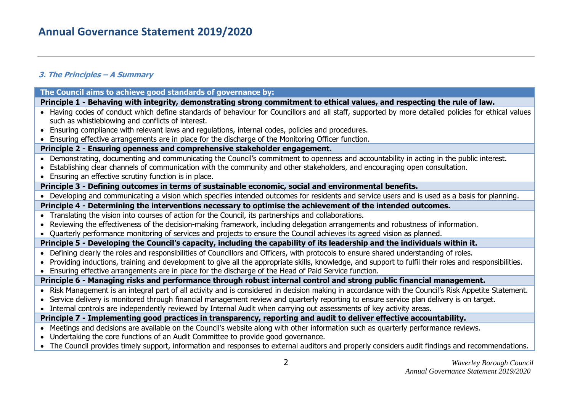## **3. The Principles – A Summary**

| Principle 1 - Behaving with integrity, demonstrating strong commitment to ethical values, and respecting the rule of law.<br>• Having codes of conduct which define standards of behaviour for Councillors and all staff, supported by more detailed policies for ethical values<br>such as whistleblowing and conflicts of interest.<br>• Ensuring compliance with relevant laws and regulations, internal codes, policies and procedures.<br>Ensuring effective arrangements are in place for the discharge of the Monitoring Officer function. |
|---------------------------------------------------------------------------------------------------------------------------------------------------------------------------------------------------------------------------------------------------------------------------------------------------------------------------------------------------------------------------------------------------------------------------------------------------------------------------------------------------------------------------------------------------|
|                                                                                                                                                                                                                                                                                                                                                                                                                                                                                                                                                   |
|                                                                                                                                                                                                                                                                                                                                                                                                                                                                                                                                                   |
|                                                                                                                                                                                                                                                                                                                                                                                                                                                                                                                                                   |
|                                                                                                                                                                                                                                                                                                                                                                                                                                                                                                                                                   |
| Principle 2 - Ensuring openness and comprehensive stakeholder engagement.                                                                                                                                                                                                                                                                                                                                                                                                                                                                         |
| • Demonstrating, documenting and communicating the Council's commitment to openness and accountability in acting in the public interest.<br>Establishing clear channels of communication with the community and other stakeholders, and encouraging open consultation.<br>• Ensuring an effective scrutiny function is in place.                                                                                                                                                                                                                  |
| Principle 3 - Defining outcomes in terms of sustainable economic, social and environmental benefits.                                                                                                                                                                                                                                                                                                                                                                                                                                              |
| • Developing and communicating a vision which specifies intended outcomes for residents and service users and is used as a basis for planning.                                                                                                                                                                                                                                                                                                                                                                                                    |
| Principle 4 - Determining the interventions necessary to optimise the achievement of the intended outcomes.                                                                                                                                                                                                                                                                                                                                                                                                                                       |
| • Translating the vision into courses of action for the Council, its partnerships and collaborations.                                                                                                                                                                                                                                                                                                                                                                                                                                             |
| • Reviewing the effectiveness of the decision-making framework, including delegation arrangements and robustness of information.                                                                                                                                                                                                                                                                                                                                                                                                                  |
| • Quarterly performance monitoring of services and projects to ensure the Council achieves its agreed vision as planned.                                                                                                                                                                                                                                                                                                                                                                                                                          |
| Principle 5 - Developing the Council's capacity, including the capability of its leadership and the individuals within it.                                                                                                                                                                                                                                                                                                                                                                                                                        |
| • Defining clearly the roles and responsibilities of Councillors and Officers, with protocols to ensure shared understanding of roles.<br>• Providing inductions, training and development to give all the appropriate skills, knowledge, and support to fulfil their roles and responsibilities.<br>Ensuring effective arrangements are in place for the discharge of the Head of Paid Service function.                                                                                                                                         |
| Principle 6 - Managing risks and performance through robust internal control and strong public financial management.                                                                                                                                                                                                                                                                                                                                                                                                                              |
| • Risk Management is an integral part of all activity and is considered in decision making in accordance with the Council's Risk Appetite Statement.<br>• Service delivery is monitored through financial management review and quarterly reporting to ensure service plan delivery is on target.<br>• Internal controls are independently reviewed by Internal Audit when carrying out assessments of key activity areas.                                                                                                                        |
| Principle 7 - Implementing good practices in transparency, reporting and audit to deliver effective accountability.                                                                                                                                                                                                                                                                                                                                                                                                                               |
| • Meetings and decisions are available on the Council's website along with other information such as quarterly performance reviews.<br>• Undertaking the core functions of an Audit Committee to provide good governance.<br>• The Council provides timely support, information and responses to external auditors and properly considers audit findings and recommendations.                                                                                                                                                                     |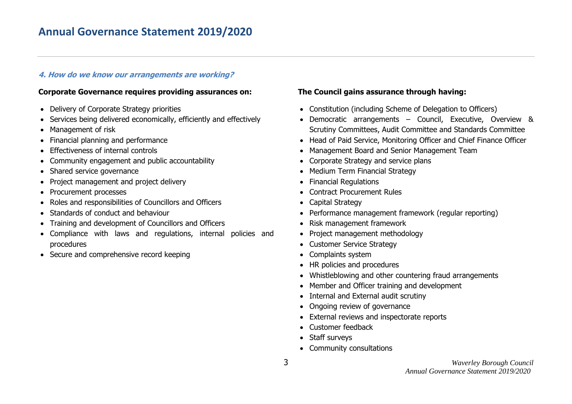# **Annual Governance Statement 2019/2020**

## **4. How do we know our arrangements are working?**

#### **Corporate Governance requires providing assurances on:**

- Delivery of Corporate Strategy priorities
- Services being delivered economically, efficiently and effectively
- Management of risk
- Financial planning and performance
- **•** Effectiveness of internal controls
- Community engagement and public accountability
- Shared service governance
- Project management and project delivery
- Procurement processes
- Roles and responsibilities of Councillors and Officers
- Standards of conduct and behaviour
- Training and development of Councillors and Officers
- Compliance with laws and regulations, internal policies and procedures
- Secure and comprehensive record keeping

## **The Council gains assurance through having:**

- Constitution (including Scheme of Delegation to Officers)
- Democratic arrangements Council, Executive, Overview & Scrutiny Committees, Audit Committee and Standards Committee
- Head of Paid Service, Monitoring Officer and Chief Finance Officer
- Management Board and Senior Management Team
- Corporate Strategy and service plans
- Medium Term Financial Strategy
- Financial Regulations
- Contract Procurement Rules
- Capital Strategy
- Performance management framework (regular reporting)
- Risk management framework
- Project management methodology
- Customer Service Strategy
- Complaints system
- HR policies and procedures
- Whistleblowing and other countering fraud arrangements
- Member and Officer training and development
- Internal and External audit scrutiny
- Ongoing review of governance
- External reviews and inspectorate reports
- Customer feedback
- Staff surveys
- Community consultations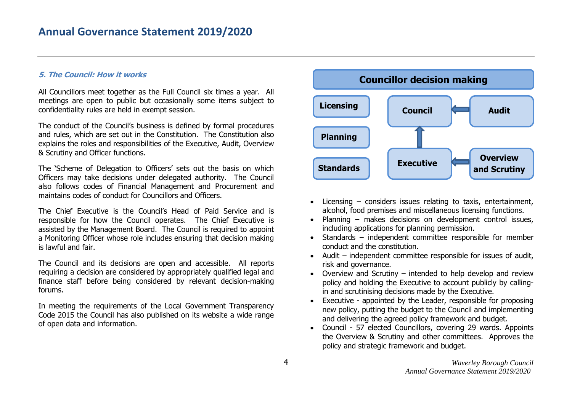### **5. The Council: How it works**

All Councillors meet together as the Full Council six times a year. All meetings are open to public but occasionally some items subject to confidentiality rules are held in exempt session.

The conduct of the Council's business is defined by formal procedures and rules, which are set out in the Constitution. The Constitution also explains the roles and responsibilities of the Executive, Audit, Overview & Scrutiny and Officer functions.

The 'Scheme of Delegation to Officers' sets out the basis on which Officers may take decisions under delegated authority. The Council also follows codes of Financial Management and Procurement and maintains codes of conduct for Councillors and Officers.

The Chief Executive is the Council's Head of Paid Service and is responsible for how the Council operates. The Chief Executive is assisted by the Management Board. The Council is required to appoint a Monitoring Officer whose role includes ensuring that decision making is lawful and fair.

The Council and its decisions are open and accessible. All reports requiring a decision are considered by appropriately qualified legal and finance staff before being considered by relevant decision-making forums.

In meeting the requirements of the Local Government Transparency Code 2015 the Council has also published on its website a wide range of open data and information.



- Licensing considers issues relating to taxis, entertainment, alcohol, food premises and miscellaneous licensing functions.
- Planning makes decisions on development control issues, including applications for planning permission.
- Standards independent committee responsible for member conduct and the constitution.
- Audit independent committee responsible for issues of audit, risk and governance.
- Overview and Scrutiny intended to help develop and review policy and holding the Executive to account publicly by callingin and scrutinising decisions made by the Executive.
- Executive appointed by the Leader, responsible for proposing new policy, putting the budget to the Council and implementing and delivering the agreed policy framework and budget.
- Council 57 elected Councillors, covering 29 wards. Appoints the Overview & Scrutiny and other committees. Approves the policy and strategic framework and budget.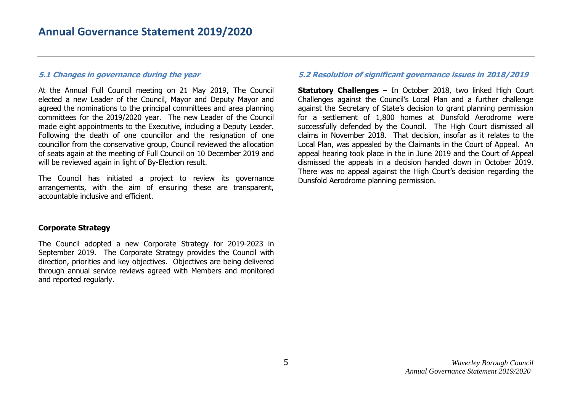#### **5.1 Changes in governance during the year**

At the Annual Full Council meeting on 21 May 2019, The Council elected a new Leader of the Council, Mayor and Deputy Mayor and agreed the nominations to the principal committees and area planning committees for the 2019/2020 year. The new Leader of the Council made eight appointments to the Executive, including a Deputy Leader. Following the death of one councillor and the resignation of one councillor from the conservative group, Council reviewed the allocation of seats again at the meeting of Full Council on 10 December 2019 and will be reviewed again in light of By-Election result.

The Council has initiated a project to review its governance arrangements, with the aim of ensuring these are transparent, accountable inclusive and efficient.

#### **Corporate Strategy**

The Council adopted a new Corporate Strategy for 2019-2023 in September 2019. The Corporate Strategy provides the Council with direction, priorities and key objectives. Objectives are being delivered through annual service reviews agreed with Members and monitored and reported regularly.

#### **5.2 Resolution of significant governance issues in 2018/2019**

**Statutory Challenges** – In October 2018, two linked High Court Challenges against the Council's Local Plan and a further challenge against the Secretary of State's decision to grant planning permission for a settlement of 1,800 homes at Dunsfold Aerodrome were successfully defended by the Council. The High Court dismissed all claims in November 2018. That decision, insofar as it relates to the Local Plan, was appealed by the Claimants in the Court of Appeal. An appeal hearing took place in the in June 2019 and the Court of Appeal dismissed the appeals in a decision handed down in October 2019. There was no appeal against the High Court's decision regarding the Dunsfold Aerodrome planning permission.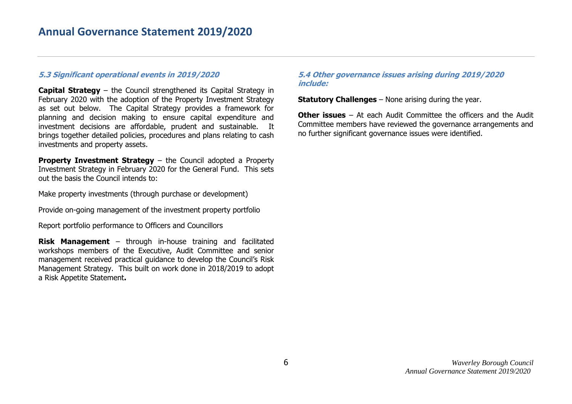### **5.3 Significant operational events in 2019/2020**

**Capital Strategy** – the Council strengthened its Capital Strategy in February 2020 with the adoption of the Property Investment Strategy as set out below. The Capital Strategy provides a framework for planning and decision making to ensure capital expenditure and investment decisions are affordable, prudent and sustainable. It brings together detailed policies, procedures and plans relating to cash investments and property assets.

**Property Investment Strategy – the Council adopted a Property** Investment Strategy in February 2020 for the General Fund. This sets out the basis the Council intends to:

Make property investments (through purchase or development)

Provide on-going management of the investment property portfolio

Report portfolio performance to Officers and Councillors

**Risk Management** – through in-house training and facilitated workshops members of the Executive, Audit Committee and senior management received practical guidance to develop the Council's Risk Management Strategy. This built on work done in 2018/2019 to adopt a Risk Appetite Statement**.**

#### **5.4 Other governance issues arising during 2019/2020 include:**

**Statutory Challenges** – None arising during the year.

**Other issues** – At each Audit Committee the officers and the Audit Committee members have reviewed the governance arrangements and no further significant governance issues were identified.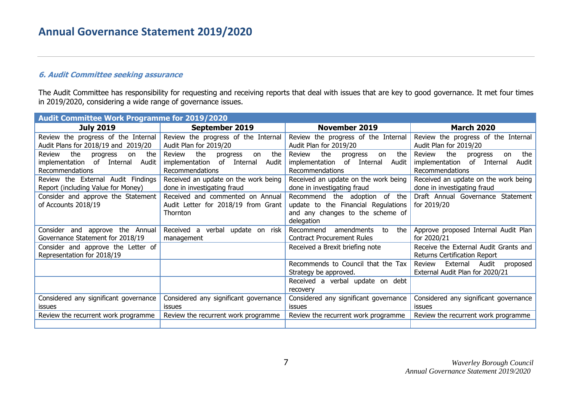## **6. Audit Committee seeking assurance**

The Audit Committee has responsibility for requesting and receiving reports that deal with issues that are key to good governance. It met four times in 2019/2020, considering a wide range of governance issues.

| <b>Audit Committee Work Programme for 2019/2020</b>                                                            |                                                                                                  |                                                                                                                        |                                                                                                    |  |  |
|----------------------------------------------------------------------------------------------------------------|--------------------------------------------------------------------------------------------------|------------------------------------------------------------------------------------------------------------------------|----------------------------------------------------------------------------------------------------|--|--|
| <b>July 2019</b>                                                                                               | September 2019                                                                                   | <b>November 2019</b>                                                                                                   | <b>March 2020</b>                                                                                  |  |  |
| Review the progress of the Internal<br>Audit Plans for 2018/19 and 2019/20                                     | Review the progress of the Internal<br>Audit Plan for 2019/20                                    | Review the progress of the Internal<br>Audit Plan for 2019/20                                                          | Review the progress of the Internal<br>Audit Plan for 2019/20                                      |  |  |
| the<br><b>Review</b><br>the<br>progress<br>on<br>implementation of Internal<br>Audit<br><b>Recommendations</b> | the<br>the<br>Review<br>progress<br>on<br>implementation of Internal<br>Audit<br>Recommendations | the<br>Review<br>the<br>progress<br>on<br>implementation of Internal<br>Audit<br><b>Recommendations</b>                | the<br>Review<br>the<br>progress<br>on<br>implementation of Internal<br>Audit  <br>Recommendations |  |  |
| Review the External Audit Findings<br>Report (including Value for Money)                                       | Received an update on the work being<br>done in investigating fraud                              | Received an update on the work being<br>done in investigating fraud                                                    | Received an update on the work being<br>done in investigating fraud                                |  |  |
| Consider and approve the Statement<br>of Accounts 2018/19                                                      | Received and commented on Annual<br>Audit Letter for 2018/19 from Grant<br>Thornton              | Recommend the adoption of the<br>update to the Financial Regulations<br>and any changes to the scheme of<br>delegation | Draft Annual Governance Statement<br>for 2019/20                                                   |  |  |
| Consider and approve the Annual<br>Governance Statement for 2018/19                                            | Received a<br>verbal update on risk<br>management                                                | the<br>Recommend<br>amendments<br>to<br><b>Contract Procurement Rules</b>                                              | Approve proposed Internal Audit Plan<br>for 2020/21                                                |  |  |
| Consider and approve the Letter of<br>Representation for 2018/19                                               |                                                                                                  | Received a Brexit briefing note                                                                                        | Receive the External Audit Grants and<br><b>Returns Certification Report</b>                       |  |  |
|                                                                                                                |                                                                                                  | Recommends to Council that the Tax<br>Strategy be approved.                                                            | Review<br>External<br>Audit<br>proposed<br>External Audit Plan for 2020/21                         |  |  |
|                                                                                                                |                                                                                                  | Received a verbal update on debt<br>recovery                                                                           |                                                                                                    |  |  |
| Considered any significant governance<br><b>issues</b>                                                         | Considered any significant governance<br><b>issues</b>                                           | Considered any significant governance<br>issues                                                                        | Considered any significant governance<br>issues                                                    |  |  |
| Review the recurrent work programme                                                                            | Review the recurrent work programme                                                              | Review the recurrent work programme                                                                                    | Review the recurrent work programme                                                                |  |  |
|                                                                                                                |                                                                                                  |                                                                                                                        |                                                                                                    |  |  |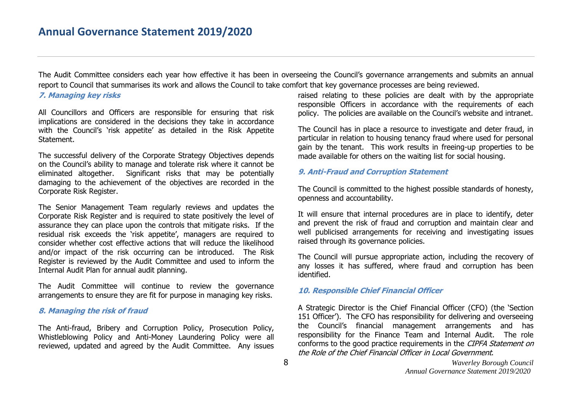The Audit Committee considers each year how effective it has been in overseeing the Council's governance arrangements and submits an annual report to Council that summarises its work and allows the Council to take comfort that key governance processes are being reviewed.

#### **7. Managing key risks**

All Councillors and Officers are responsible for ensuring that risk implications are considered in the decisions they take in accordance with the Council's `risk appetite' as detailed in the Risk Appetite Statement.

The successful delivery of the Corporate Strategy Objectives depends on the Council's ability to manage and tolerate risk where it cannot be eliminated altogether. Significant risks that may be potentially damaging to the achievement of the objectives are recorded in the Corporate Risk Register.

The Senior Management Team regularly reviews and updates the Corporate Risk Register and is required to state positively the level of assurance they can place upon the controls that mitigate risks. If the residual risk exceeds the 'risk appetite', managers are required to consider whether cost effective actions that will reduce the likelihood and/or impact of the risk occurring can be introduced. The Risk Register is reviewed by the Audit Committee and used to inform the Internal Audit Plan for annual audit planning.

The Audit Committee will continue to review the governance arrangements to ensure they are fit for purpose in managing key risks.

#### **8. Managing the risk of fraud**

The Anti-fraud, Bribery and Corruption Policy, Prosecution Policy, Whistleblowing Policy and Anti-Money Laundering Policy were all reviewed, updated and agreed by the Audit Committee. Any issues

raised relating to these policies are dealt with by the appropriate responsible Officers in accordance with the requirements of each policy. The policies are available on the Council's website and intranet.

The Council has in place a resource to investigate and deter fraud, in particular in relation to housing tenancy fraud where used for personal gain by the tenant. This work results in freeing-up properties to be made available for others on the waiting list for social housing.

### **9. Anti-Fraud and Corruption Statement**

The Council is committed to the highest possible standards of honesty, openness and accountability.

It will ensure that internal procedures are in place to identify, deter and prevent the risk of fraud and corruption and maintain clear and well publicised arrangements for receiving and investigating issues raised through its governance policies.

The Council will pursue appropriate action, including the recovery of any losses it has suffered, where fraud and corruption has been identified.

## **10. Responsible Chief Financial Officer**

A Strategic Director is the Chief Financial Officer (CFO) (the 'Section 151 Officer'). The CFO has responsibility for delivering and overseeing the Council's financial management arrangements and has responsibility for the Finance Team and Internal Audit. The role conforms to the good practice requirements in the CIPFA Statement on the Role of the Chief Financial Officer in Local Government.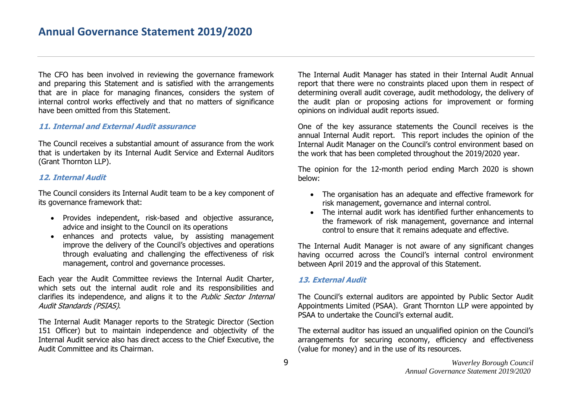The CFO has been involved in reviewing the governance framework and preparing this Statement and is satisfied with the arrangements that are in place for managing finances, considers the system of internal control works effectively and that no matters of significance have been omitted from this Statement.

#### **11. Internal and External Audit assurance**

The Council receives a substantial amount of assurance from the work that is undertaken by its Internal Audit Service and External Auditors (Grant Thornton LLP).

## **12. Internal Audit**

The Council considers its Internal Audit team to be a key component of its governance framework that:

- Provides independent, risk-based and objective assurance, advice and insight to the Council on its operations
- enhances and protects value, by assisting management improve the delivery of the Council's objectives and operations through evaluating and challenging the effectiveness of risk management, control and governance processes.

Each year the Audit Committee reviews the Internal Audit Charter, which sets out the internal audit role and its responsibilities and clarifies its independence, and aligns it to the *Public Sector Internal* Audit Standards (PSIAS).

The Internal Audit Manager reports to the Strategic Director (Section 151 Officer) but to maintain independence and objectivity of the Internal Audit service also has direct access to the Chief Executive, the Audit Committee and its Chairman.

The Internal Audit Manager has stated in their Internal Audit Annual report that there were no constraints placed upon them in respect of determining overall audit coverage, audit methodology, the delivery of the audit plan or proposing actions for improvement or forming opinions on individual audit reports issued.

One of the key assurance statements the Council receives is the annual Internal Audit report. This report includes the opinion of the Internal Audit Manager on the Council's control environment based on the work that has been completed throughout the 2019/2020 year.

The opinion for the 12-month period ending March 2020 is shown below:

- The organisation has an adequate and effective framework for risk management, governance and internal control.
- The internal audit work has identified further enhancements to the framework of risk management, governance and internal control to ensure that it remains adequate and effective.

The Internal Audit Manager is not aware of any significant changes having occurred across the Council's internal control environment between April 2019 and the approval of this Statement.

## **13. External Audit**

The Council's external auditors are appointed by Public Sector Audit Appointments Limited (PSAA). Grant Thornton LLP were appointed by PSAA to undertake the Council's external audit.

The external auditor has issued an unqualified opinion on the Council's arrangements for securing economy, efficiency and effectiveness (value for money) and in the use of its resources.